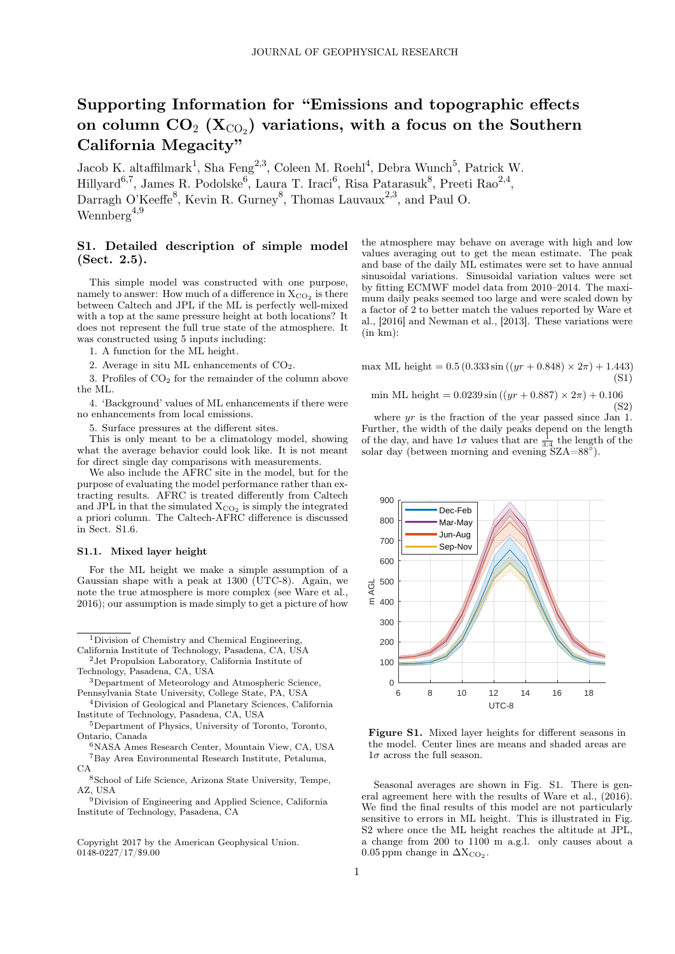# Supporting Information for "Emissions and topographic effects on column  $\mathbf{CO}_{2} \; (\mathbf{X}_{\text{CO}_2})$  variations, with a focus on the Southern California Megacity"

Jacob K. altaffilmark<sup>1</sup>, Sha Feng<sup>2,3</sup>, Coleen M. Roehl<sup>4</sup>, Debra Wunch<sup>5</sup>, Patrick W.  $\text{Hillyard}^{6,7}, \text{James R. Podolske}^6, \text{ Laura T. Iraci}^6, \text{Risa Patarasuk}^8, \text{Preeti Rao}^{2,4},$ Darragh O'Keeffe<sup>8</sup>, Kevin R. Gurney<sup>8</sup>, Thomas Lauvaux<sup>2,3</sup>, and Paul O. Wennberg<sup>4,9</sup>

## S1. Detailed description of simple model (Sect. 2.5).

This simple model was constructed with one purpose, namely to answer: How much of a difference in  $\rm X_{CO_2}$  is there between Caltech and JPL if the ML is perfectly well-mixed with a top at the same pressure height at both locations? It does not represent the full true state of the atmosphere. It was constructed using 5 inputs including:

1. A function for the ML height.

2. Average in situ ML enhancements of  $CO<sub>2</sub>$ .

3. Profiles of  $CO<sub>2</sub>$  for the remainder of the column above the ML.

4. 'Background' values of ML enhancements if there were no enhancements from local emissions.

5. Surface pressures at the different sites.

This is only meant to be a climatology model, showing what the average behavior could look like. It is not meant for direct single day comparisons with measurements.

We also include the AFRC site in the model, but for the purpose of evaluating the model performance rather than extracting results. AFRC is treated differently from Caltech and JPL in that the simulated  $X_{CO_2}$  is simply the integrated a priori column. The Caltech-AFRC difference is discussed in Sect. S1.6.

## S1.1. Mixed layer height

For the ML height we make a simple assumption of a Gaussian shape with a peak at 1300 (UTC-8). Again, we note the true atmosphere is more complex (see Ware et al., 2016); our assumption is made simply to get a picture of how

<sup>1</sup>Division of Chemistry and Chemical Engineering, California Institute of Technology, Pasadena, CA, USA

<sup>2</sup>Jet Propulsion Laboratory, California Institute of Technology, Pasadena, CA, USA

- <sup>6</sup>NASA Ames Research Center, Mountain View, CA, USA  ${\rm ^7Bay}$  Area Environmental Research Institute, Petaluma, CA
- <sup>8</sup>School of Life Science, Arizona State University, Tempe, AZ, USA
- <sup>9</sup>Division of Engineering and Applied Science, California Institute of Technology, Pasadena, CA

Copyright 2017 by the American Geophysical Union. 0148-0227/17/\$9.00

the atmosphere may behave on average with high and low values averaging out to get the mean estimate. The peak and base of the daily ML estimates were set to have annual sinusoidal variations. Sinusoidal variation values were set by fitting ECMWF model data from 2010–2014. The maximum daily peaks seemed too large and were scaled down by a factor of 2 to better match the values reported by Ware et al., [2016] and Newman et al., [2013]. These variations were  $(in km):$ 

max ML height =  $0.5(0.333 \sin((yr + 0.848) \times 2\pi) + 1.443)$ (S1)

min ML height =  $0.0239 \sin ((yr + 0.887) \times 2\pi) + 0.106$ (S2)

where yr is the fraction of the year passed since Jan 1. Further, the width of the daily peaks depend on the length of the day, and have  $1\sigma$  values that are  $\frac{1}{3.4}$  the length of the solar day (between morning and evening  $\overline{SZA=88^\circ}$ ).



Figure S1. Mixed layer heights for different seasons in the model. Center lines are means and shaded areas are  $1\sigma$  across the full season.

Seasonal averages are shown in Fig. S1. There is general agreement here with the results of Ware et al., (2016). We find the final results of this model are not particularly sensitive to errors in ML height. This is illustrated in Fig. S2 where once the ML height reaches the altitude at JPL, a change from 200 to 1100 m a.g.l. only causes about a 0.05 ppm change in  $\Delta X_{CO_2}$ .

<sup>3</sup>Department of Meteorology and Atmospheric Science, Pennsylvania State University, College State, PA, USA

<sup>4</sup>Division of Geological and Planetary Sciences, California Institute of Technology, Pasadena, CA, USA

<sup>5</sup>Department of Physics, University of Toronto, Toronto, Ontario, Canada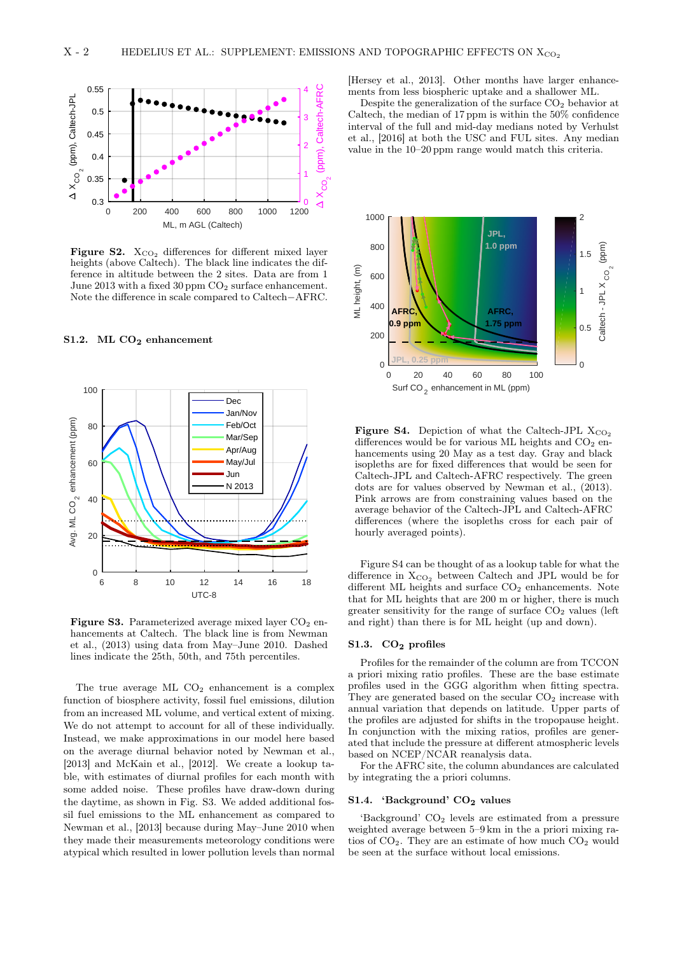

Figure S2.  $X_{CO_2}$  differences for different mixed layer heights (above Caltech). The black line indicates the difference in altitude between the 2 sites. Data are from 1 June 2013 with a fixed 30 ppm  $CO<sub>2</sub>$  surface enhancement. Note the difference in scale compared to Caltech−AFRC.

## S1.2. ML  $CO<sub>2</sub>$  enhancement



Figure S3. Parameterized average mixed layer  $CO<sub>2</sub>$  enhancements at Caltech. The black line is from Newman et al., (2013) using data from May–June 2010. Dashed lines indicate the 25th, 50th, and 75th percentiles.

The true average ML  $CO<sub>2</sub>$  enhancement is a complex function of biosphere activity, fossil fuel emissions, dilution from an increased ML volume, and vertical extent of mixing. We do not attempt to account for all of these individually. Instead, we make approximations in our model here based on the average diurnal behavior noted by Newman et al., [2013] and McKain et al., [2012]. We create a lookup table, with estimates of diurnal profiles for each month with some added noise. These profiles have draw-down during the daytime, as shown in Fig. S3. We added additional fossil fuel emissions to the ML enhancement as compared to Newman et al., [2013] because during May–June 2010 when they made their measurements meteorology conditions were atypical which resulted in lower pollution levels than normal

[Hersey et al., 2013]. Other months have larger enhancements from less biospheric uptake and a shallower ML.

Despite the generalization of the surface  $CO<sub>2</sub>$  behavior at Caltech, the median of 17 ppm is within the 50% confidence interval of the full and mid-day medians noted by Verhulst et al., [2016] at both the USC and FUL sites. Any median value in the 10–20 ppm range would match this criteria.



**Figure S4.** Depiction of what the Caltech-JPL  $X_{CO_2}$ differences would be for various ML heights and  $CO<sub>2</sub>$  enhancements using 20 May as a test day. Gray and black isopleths are for fixed differences that would be seen for Caltech-JPL and Caltech-AFRC respectively. The green dots are for values observed by Newman et al., (2013). Pink arrows are from constraining values based on the average behavior of the Caltech-JPL and Caltech-AFRC differences (where the isopleths cross for each pair of hourly averaged points).

Figure S4 can be thought of as a lookup table for what the difference in  $X_{CO_2}$  between Caltech and JPL would be for different ML heights and surface  $CO<sub>2</sub>$  enhancements. Note that for ML heights that are 200 m or higher, there is much greater sensitivity for the range of surface  $CO<sub>2</sub>$  values (left and right) than there is for ML height (up and down).

#### S1.3. CO<sub>2</sub> profiles

Profiles for the remainder of the column are from TCCON a priori mixing ratio profiles. These are the base estimate profiles used in the GGG algorithm when fitting spectra. They are generated based on the secular  $CO<sub>2</sub>$  increase with annual variation that depends on latitude. Upper parts of the profiles are adjusted for shifts in the tropopause height. In conjunction with the mixing ratios, profiles are generated that include the pressure at different atmospheric levels based on NCEP/NCAR reanalysis data.

For the AFRC site, the column abundances are calculated by integrating the a priori columns.

### S1.4. 'Background'  $CO<sub>2</sub>$  values

'Background' CO<sup>2</sup> levels are estimated from a pressure weighted average between 5–9 km in the a priori mixing ratios of  $CO<sub>2</sub>$ . They are an estimate of how much  $CO<sub>2</sub>$  would be seen at the surface without local emissions.